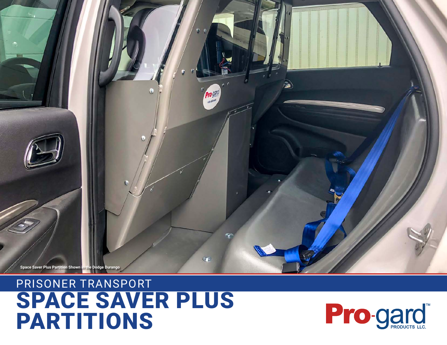# PRISONER TRANSPORT **SPACE SAVER PLUS PARTITIONS**